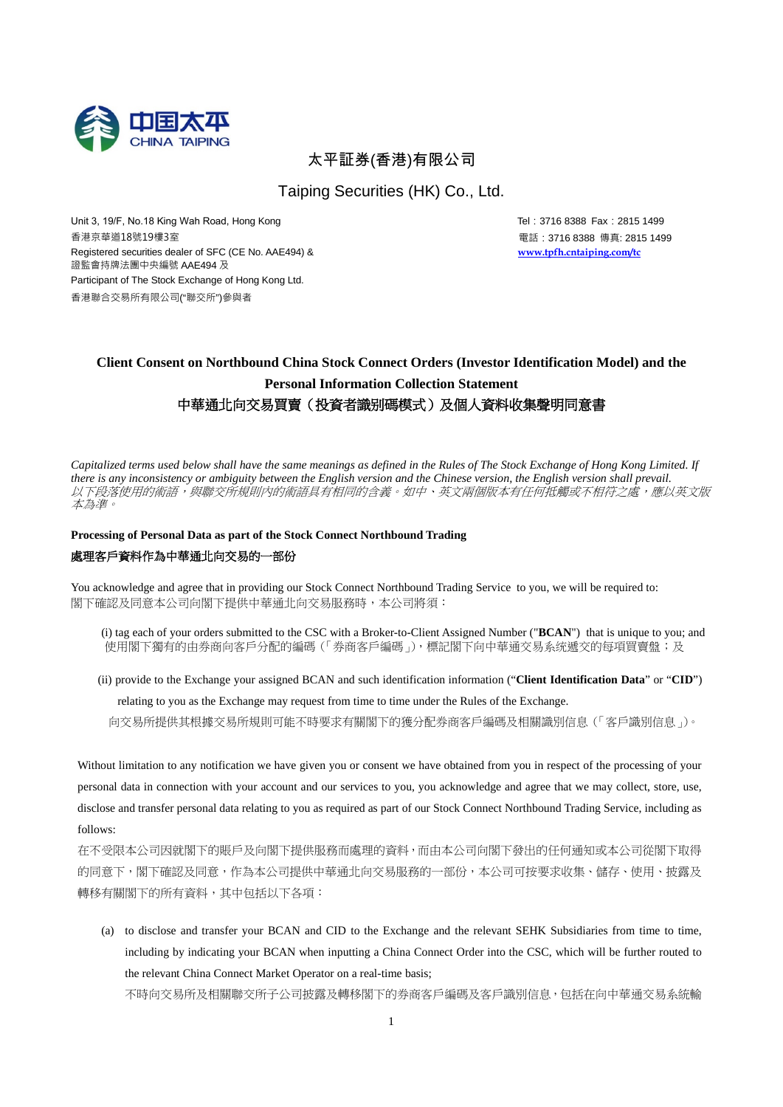

# 太平証券(香港)有限公司

Taiping Securities (HK) Co., Ltd.

Unit 3, 19/F, No.18 King Wah Road, Hong Kong Tel: 3716 8388 Fax: 2815 1499 香港京華道18號19樓3室 Registered securities dealer of SFC (CE No. AAE494) & 證監會持牌法團中央編號 AAE494 及 Participant of The Stock Exchange of Hong Kong Ltd. 香港聯合交易所有限公司("聯交所")參與者

電話:3716 8388 傳真: 2815 1499 **www.tpfh.cntaiping.com/tc**

# **Client Consent on Northbound China Stock Connect Orders (Investor Identification Model) and the Personal Information Collection Statement** 中華通北向交易買賣(投資者識别碼模式)及個人資料收集聲明同意書

*Capitalized terms used below shall have the same meanings as defined in the Rules of The Stock Exchange of Hong Kong Limited. If there is any inconsistency or ambiguity between the English version and the Chinese version, the English version shall prevail.* 以下段落使用的術語,與聯交所規則內的術語具有相同的含義。如中、英文兩個版本有任何抵觸或不相符之處,應以英文版 本為準。

### **Processing of Personal Data as part of the Stock Connect Northbound Trading**

#### 處理客戶資料作為中華通北向交易的一部份

You acknowledge and agree that in providing our Stock Connect Northbound Trading Service to you, we will be required to: 閣下確認及同意本公司向閣下提供中華通北向交易服務時,本公司將須:

- (i) tag each of your orders submitted to the CSC with a Broker-to-Client Assigned Number ("**BCAN**") that is unique to you; and 使用閣下獨有的由券商向客戶外配的編碼(「券商客戶編碼」),標記閣下向中華通交易系统遞交的每項買賣盤;及
- (ii) provide to the Exchange your assigned BCAN and such identification information ("**Client Identification Data**" or "**CID**") relating to you as the Exchange may request from time to time under the Rules of the Exchange.

向交易所提供其根據交易所規則可能不時要求有關閣下的獲分配券商客戶編碼及相關識別信息(「客戶識別信息」)。

Without limitation to any notification we have given you or consent we have obtained from you in respect of the processing of your personal data in connection with your account and our services to you, you acknowledge and agree that we may collect, store, use, disclose and transfer personal data relating to you as required as part of our Stock Connect Northbound Trading Service, including as follows:

在不受限本公司因就閣下的賬戶及向閣下提供服務而處理的資料,而由本公司向閣下發出的任何通知或本公司從閣下取得 的同意下,閣下確認及同意,作為本公司提供中華通北向交易服務的一部份,本公司可按要求收集、儲存、使用、披露及 轉移有關閣下的所有資料,其中包括以下各項:

(a) to disclose and transfer your BCAN and CID to the Exchange and the relevant SEHK Subsidiaries from time to time, including by indicating your BCAN when inputting a China Connect Order into the CSC, which will be further routed to the relevant China Connect Market Operator on a real-time basis;

不時向交易所及相關聯交所子公司披露及轉移閣下的券商客戶編碼及客戶識別信息,包括在向中華通交易系統輸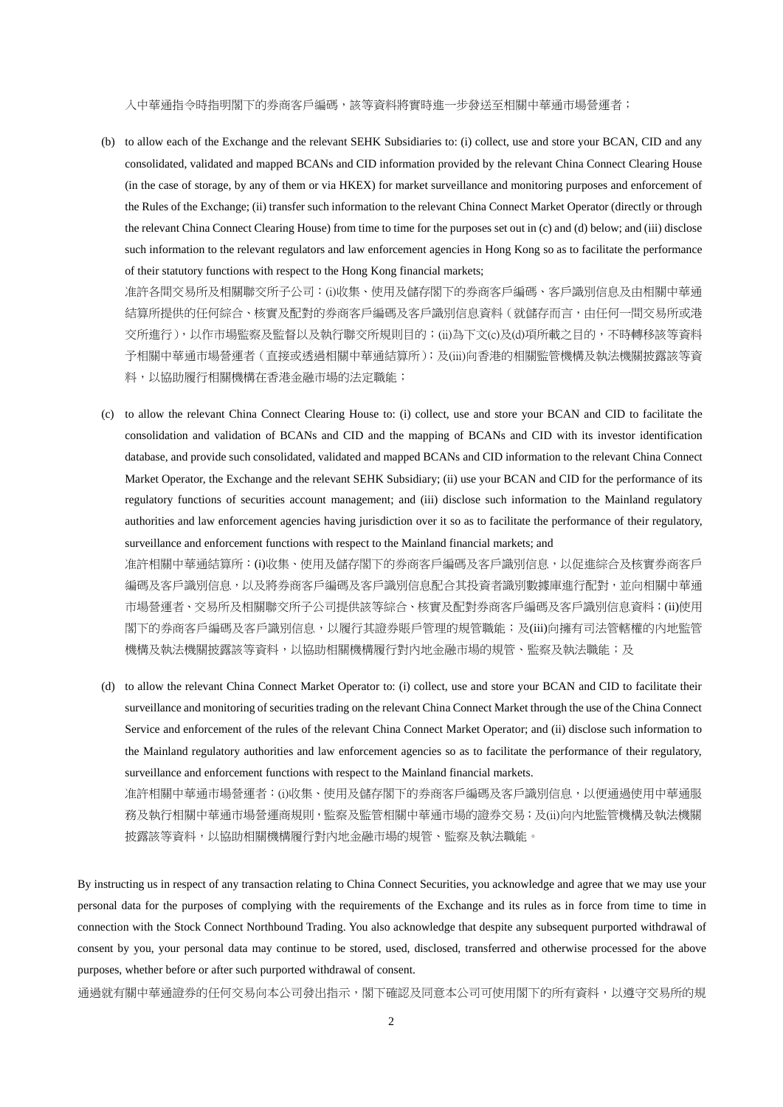入中華通指令時指明閣下的券商客戶編碼,該等資料將實時進一步發送至相關中華通市場營運者;

(b) to allow each of the Exchange and the relevant SEHK Subsidiaries to: (i) collect, use and store your BCAN, CID and any consolidated, validated and mapped BCANs and CID information provided by the relevant China Connect Clearing House (in the case of storage, by any of them or via HKEX) for market surveillance and monitoring purposes and enforcement of the Rules of the Exchange; (ii) transfer such information to the relevant China Connect Market Operator (directly or through the relevant China Connect Clearing House) from time to time for the purposes set out in (c) and (d) below; and (iii) disclose such information to the relevant regulators and law enforcement agencies in Hong Kong so as to facilitate the performance of their statutory functions with respect to the Hong Kong financial markets;

准許各間交易所及相關聯交所子公司:(i)收集、使用及儲存閣下的券商客戶編碼、客戶識別信息及由相關中華通 結算所提供的任何綜合、核實及配對的券商客戶編碼及客戶識別信息資料(就儲存而言,由任何一間交易所或港 交所進行),以作市場監察及監督以及執行聯交所規則目的;(ii)為下文(c)及(d)項所載之目的,不時轉移該等資料 予相關中華通市場營運者(直接或透過相關中華通結算所);及(iii)向香港的相關監管機構及執法機關披露該等資 料,以協助履行相關機構在香港金融市場的法定職能;

- (c) to allow the relevant China Connect Clearing House to: (i) collect, use and store your BCAN and CID to facilitate the consolidation and validation of BCANs and CID and the mapping of BCANs and CID with its investor identification database, and provide such consolidated, validated and mapped BCANs and CID information to the relevant China Connect Market Operator, the Exchange and the relevant SEHK Subsidiary; (ii) use your BCAN and CID for the performance of its regulatory functions of securities account management; and (iii) disclose such information to the Mainland regulatory authorities and law enforcement agencies having jurisdiction over it so as to facilitate the performance of their regulatory, surveillance and enforcement functions with respect to the Mainland financial markets; and 准許相關中華通結算所:(i)收集、使用及儲存閣下的券商客戶編碼及客戶識別信息,以促進綜合及核實券商客戶 編碼及客戶識別信息,以及將券商客戶編碼及客戶識別信息配合其投資者識別數據庫進行配對,並向相關中華通 市場營運者、交易所及相關聯交所子公司提供該等綜合、核實及配對券商客戶編碼及客戶識別信息資料;(ii)使用
	- 閣下的券商客戶編碼及客戶識別信息,以履行其證券賬戶管理的規管職能;及(iii)向擁有司法管轄權的內地監管 機構及執法機關披露該等資料,以協助相關機構履行對內地金融市場的規管、監察及執法職能;及
- (d) to allow the relevant China Connect Market Operator to: (i) collect, use and store your BCAN and CID to facilitate their surveillance and monitoring of securities trading on the relevant China Connect Market through the use of the China Connect Service and enforcement of the rules of the relevant China Connect Market Operator; and (ii) disclose such information to the Mainland regulatory authorities and law enforcement agencies so as to facilitate the performance of their regulatory, surveillance and enforcement functions with respect to the Mainland financial markets.

准許相關中華通市場營運者:(i)收集、使用及儲存閣下的券商客戶編碼及客戶識別信息,以便通過使用中華通服 務及執行相關中華通市場營運商規則,監察及監管相關中華通市場的證券交易;及(ii)向內地監管機構及執法機關 披露該等資料,以協助相關機構履行對內地金融市場的規管、監察及執法職能。

By instructing us in respect of any transaction relating to China Connect Securities, you acknowledge and agree that we may use your personal data for the purposes of complying with the requirements of the Exchange and its rules as in force from time to time in connection with the Stock Connect Northbound Trading. You also acknowledge that despite any subsequent purported withdrawal of consent by you, your personal data may continue to be stored, used, disclosed, transferred and otherwise processed for the above purposes, whether before or after such purported withdrawal of consent.

通過就有關中華通證券的任何交易向本公司發出指示,閣下確認及同意本公司可使用閣下的所有資料,以遵守交易所的規